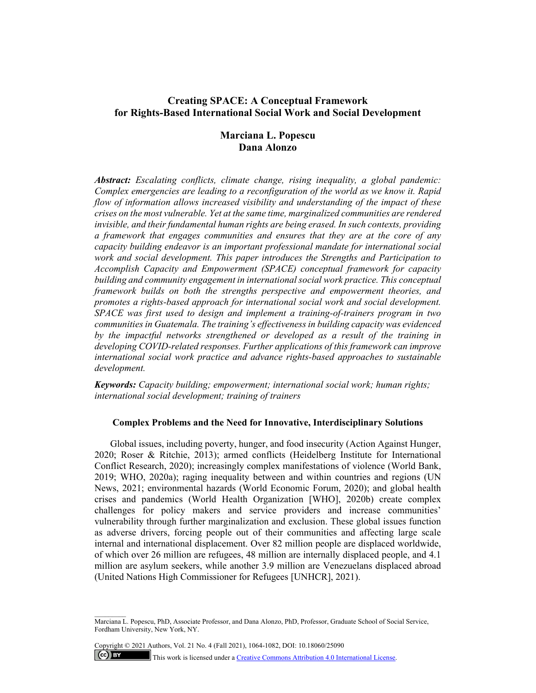# **Creating SPACE: A Conceptual Framework for Rights-Based International Social Work and Social Development**

# **Marciana L. Popescu Dana Alonzo**

*Abstract: Escalating conflicts, climate change, rising inequality, a global pandemic: Complex emergencies are leading to a reconfiguration of the world as we know it. Rapid flow of information allows increased visibility and understanding of the impact of these crises on the most vulnerable. Yet at the same time, marginalized communities are rendered invisible, and their fundamental human rights are being erased. In such contexts, providing a framework that engages communities and ensures that they are at the core of any capacity building endeavor is an important professional mandate for international social work and social development. This paper introduces the Strengths and Participation to Accomplish Capacity and Empowerment (SPACE) conceptual framework for capacity building and community engagement in international social work practice. This conceptual framework builds on both the strengths perspective and empowerment theories, and promotes a rights-based approach for international social work and social development. SPACE was first used to design and implement a training-of-trainers program in two communities in Guatemala. The training's effectiveness in building capacity was evidenced by the impactful networks strengthened or developed as a result of the training in developing COVID-related responses. Further applications of this framework can improve international social work practice and advance rights-based approaches to sustainable development.* 

*Keywords: Capacity building; empowerment; international social work; human rights; international social development; training of trainers* 

## **Complex Problems and the Need for Innovative, Interdisciplinary Solutions**

Global issues, including poverty, hunger, and food insecurity (Action Against Hunger, 2020; Roser & Ritchie, 2013); armed conflicts (Heidelberg Institute for International Conflict Research, 2020); increasingly complex manifestations of violence (World Bank, 2019; WHO, 2020a); raging inequality between and within countries and regions (UN News, 2021; environmental hazards (World Economic Forum, 2020); and global health crises and pandemics (World Health Organization [WHO], 2020b) create complex challenges for policy makers and service providers and increase communities' vulnerability through further marginalization and exclusion. These global issues function as adverse drivers, forcing people out of their communities and affecting large scale internal and international displacement. Over 82 million people are displaced worldwide, of which over 26 million are refugees, 48 million are internally displaced people, and 4.1 million are asylum seekers, while another 3.9 million are Venezuelans displaced abroad (United Nations High Commissioner for Refugees [UNHCR], 2021).

Copyright © 2021 Authors, Vol. 21 No. 4 (Fall 2021), 1064-1082, DOI: 10.18060/25090  $\left($ ce) BY

This work is licensed under a Creative Commons Attribution 4.0 International License.

Marciana L. Popescu, PhD, Associate Professor, and Dana Alonzo, PhD, Professor, Graduate School of Social Service, Fordham University, New York, NY.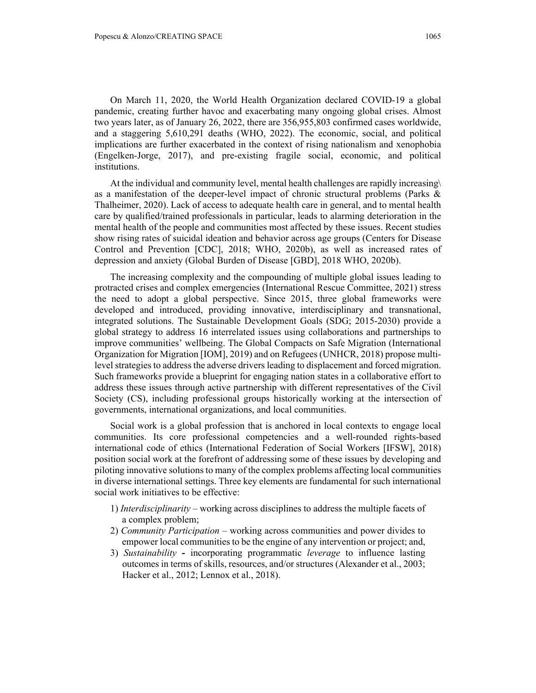On March 11, 2020, the World Health Organization declared COVID-19 a global pandemic, creating further havoc and exacerbating many ongoing global crises. Almost two years later, as of January 26, 2022, there are 356,955,803 confirmed cases worldwide, and a staggering 5,610,291 deaths (WHO, 2022). The economic, social, and political implications are further exacerbated in the context of rising nationalism and xenophobia (Engelken-Jorge, 2017), and pre-existing fragile social, economic, and political institutions.

At the individual and community level, mental health challenges are rapidly increasing\ as a manifestation of the deeper-level impact of chronic structural problems (Parks & Thalheimer, 2020). Lack of access to adequate health care in general, and to mental health care by qualified/trained professionals in particular, leads to alarming deterioration in the mental health of the people and communities most affected by these issues. Recent studies show rising rates of suicidal ideation and behavior across age groups (Centers for Disease Control and Prevention [CDC], 2018; WHO, 2020b), as well as increased rates of depression and anxiety (Global Burden of Disease [GBD], 2018 WHO, 2020b).

The increasing complexity and the compounding of multiple global issues leading to protracted crises and complex emergencies (International Rescue Committee, 2021) stress the need to adopt a global perspective. Since 2015, three global frameworks were developed and introduced, providing innovative, interdisciplinary and transnational, integrated solutions. The Sustainable Development Goals (SDG; 2015-2030) provide a global strategy to address 16 interrelated issues using collaborations and partnerships to improve communities' wellbeing. The Global Compacts on Safe Migration (International Organization for Migration [IOM], 2019) and on Refugees (UNHCR, 2018) propose multilevel strategies to address the adverse drivers leading to displacement and forced migration. Such frameworks provide a blueprint for engaging nation states in a collaborative effort to address these issues through active partnership with different representatives of the Civil Society (CS), including professional groups historically working at the intersection of governments, international organizations, and local communities.

Social work is a global profession that is anchored in local contexts to engage local communities. Its core professional competencies and a well-rounded rights-based international code of ethics (International Federation of Social Workers [IFSW], 2018) position social work at the forefront of addressing some of these issues by developing and piloting innovative solutions to many of the complex problems affecting local communities in diverse international settings. Three key elements are fundamental for such international social work initiatives to be effective:

- 1) *Interdisciplinarity* working across disciplines to address the multiple facets of a complex problem;
- 2) *Community Participation* working across communities and power divides to empower local communities to be the engine of any intervention or project; and,
- 3) *Sustainability*incorporating programmatic *leverage* to influence lasting outcomes in terms of skills, resources, and/or structures (Alexander et al., 2003; Hacker et al., 2012; Lennox et al., 2018).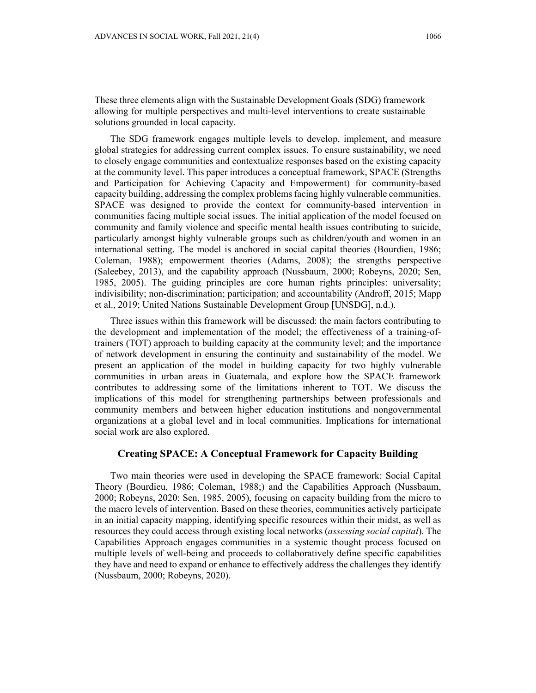These three elements align with the Sustainable Development Goals (SDG) framework allowing for multiple perspectives and multi-level interventions to create sustainable solutions grounded in local capacity.

The SDG framework engages multiple levels to develop, implement, and measure global strategies for addressing current complex issues. To ensure sustainability, we need to closely engage communities and contextualize responses based on the existing capacity at the community level. This paper introduces a conceptual framework, SPACE (Strengths and Participation for Achieving Capacity and Empowerment) for community-based capacity building, addressing the complex problems facing highly vulnerable communities. SPACE was designed to provide the context for community-based intervention in communities facing multiple social issues. The initial application of the model focused on community and family violence and specific mental health issues contributing to suicide, particularly amongst highly vulnerable groups such as children/youth and women in an international setting. The model is anchored in social capital theories (Bourdieu, 1986; Coleman, 1988); empowerment theories (Adams, 2008); the strengths perspective (Saleebey, 2013), and the capability approach (Nussbaum, 2000; Robeyns, 2020; Sen, 1985, 2005). The guiding principles are core human rights principles: universality; indivisibility; non-discrimination; participation; and accountability (Androff, 2015; Mapp et al., 2019; United Nations Sustainable Development Group [UNSDG], n.d.).

Three issues within this framework will be discussed: the main factors contributing to the development and implementation of the model; the effectiveness of a training-oftrainers (TOT) approach to building capacity at the community level; and the importance of network development in ensuring the continuity and sustainability of the model. We present an application of the model in building capacity for two highly vulnerable communities in urban areas in Guatemala, and explore how the SPACE framework contributes to addressing some of the limitations inherent to TOT. We discuss the implications of this model for strengthening partnerships between professionals and community members and between higher education institutions and nongovernmental organizations at a global level and in local communities. Implications for international social work are also explored.

## **Creating SPACE: A Conceptual Framework for Capacity Building**

Two main theories were used in developing the SPACE framework: Social Capital Theory (Bourdieu, 1986; Coleman, 1988;) and the Capabilities Approach (Nussbaum, 2000; Robeyns, 2020; Sen, 1985, 2005), focusing on capacity building from the micro to the macro levels of intervention. Based on these theories, communities actively participate in an initial capacity mapping, identifying specific resources within their midst, as well as resources they could access through existing local networks (*assessing social capital*). The Capabilities Approach engages communities in a systemic thought process focused on multiple levels of well-being and proceeds to collaboratively define specific capabilities they have and need to expand or enhance to effectively address the challenges they identify (Nussbaum, 2000; Robeyns, 2020).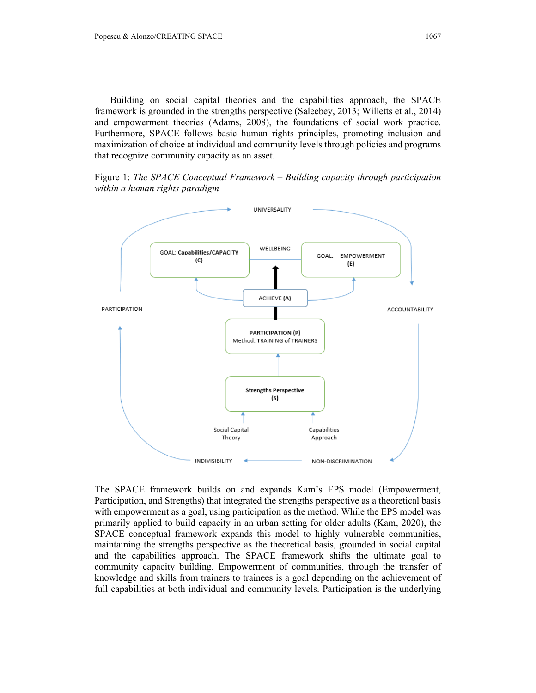Building on social capital theories and the capabilities approach, the SPACE framework is grounded in the strengths perspective (Saleebey, 2013; Willetts et al., 2014) and empowerment theories (Adams, 2008), the foundations of social work practice. Furthermore, SPACE follows basic human rights principles, promoting inclusion and maximization of choice at individual and community levels through policies and programs that recognize community capacity as an asset.

Figure 1: *The SPACE Conceptual Framework – Building capacity through participation within a human rights paradigm*



The SPACE framework builds on and expands Kam's EPS model (Empowerment, Participation, and Strengths) that integrated the strengths perspective as a theoretical basis with empowerment as a goal, using participation as the method. While the EPS model was primarily applied to build capacity in an urban setting for older adults (Kam, 2020), the SPACE conceptual framework expands this model to highly vulnerable communities, maintaining the strengths perspective as the theoretical basis, grounded in social capital and the capabilities approach. The SPACE framework shifts the ultimate goal to community capacity building. Empowerment of communities, through the transfer of knowledge and skills from trainers to trainees is a goal depending on the achievement of full capabilities at both individual and community levels. Participation is the underlying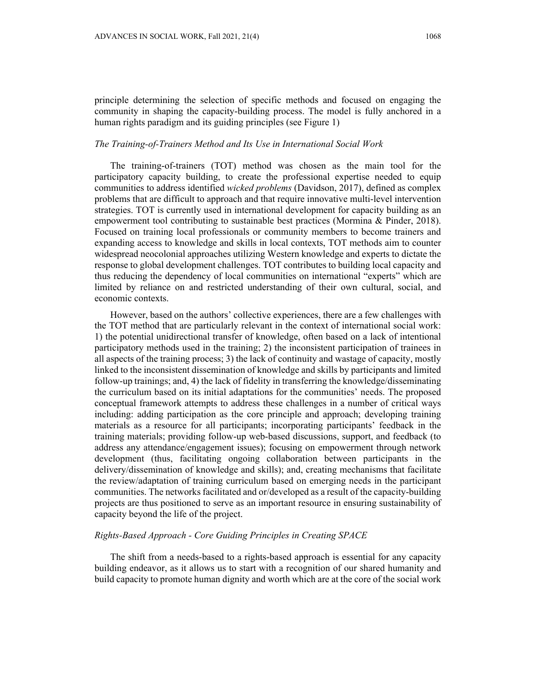principle determining the selection of specific methods and focused on engaging the community in shaping the capacity-building process. The model is fully anchored in a human rights paradigm and its guiding principles (see Figure 1)

## *The Training-of-Trainers Method and Its Use in International Social Work*

The training-of-trainers (TOT) method was chosen as the main tool for the participatory capacity building, to create the professional expertise needed to equip communities to address identified *wicked problems* (Davidson, 2017), defined as complex problems that are difficult to approach and that require innovative multi-level intervention strategies. TOT is currently used in international development for capacity building as an empowerment tool contributing to sustainable best practices (Mormina & Pinder, 2018). Focused on training local professionals or community members to become trainers and expanding access to knowledge and skills in local contexts, TOT methods aim to counter widespread neocolonial approaches utilizing Western knowledge and experts to dictate the response to global development challenges. TOT contributes to building local capacity and thus reducing the dependency of local communities on international "experts" which are limited by reliance on and restricted understanding of their own cultural, social, and economic contexts.

However, based on the authors' collective experiences, there are a few challenges with the TOT method that are particularly relevant in the context of international social work: 1) the potential unidirectional transfer of knowledge, often based on a lack of intentional participatory methods used in the training; 2) the inconsistent participation of trainees in all aspects of the training process; 3) the lack of continuity and wastage of capacity, mostly linked to the inconsistent dissemination of knowledge and skills by participants and limited follow-up trainings; and, 4) the lack of fidelity in transferring the knowledge/disseminating the curriculum based on its initial adaptations for the communities' needs. The proposed conceptual framework attempts to address these challenges in a number of critical ways including: adding participation as the core principle and approach; developing training materials as a resource for all participants; incorporating participants' feedback in the training materials; providing follow-up web-based discussions, support, and feedback (to address any attendance/engagement issues); focusing on empowerment through network development (thus, facilitating ongoing collaboration between participants in the delivery/dissemination of knowledge and skills); and, creating mechanisms that facilitate the review/adaptation of training curriculum based on emerging needs in the participant communities. The networks facilitated and or/developed as a result of the capacity-building projects are thus positioned to serve as an important resource in ensuring sustainability of capacity beyond the life of the project.

### *Rights-Based Approach - Core Guiding Principles in Creating SPACE*

The shift from a needs-based to a rights-based approach is essential for any capacity building endeavor, as it allows us to start with a recognition of our shared humanity and build capacity to promote human dignity and worth which are at the core of the social work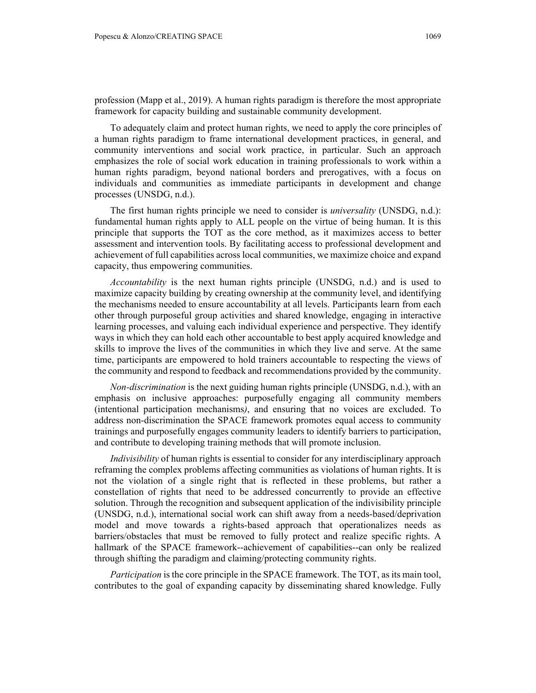To adequately claim and protect human rights, we need to apply the core principles of a human rights paradigm to frame international development practices, in general, and community interventions and social work practice, in particular. Such an approach emphasizes the role of social work education in training professionals to work within a human rights paradigm, beyond national borders and prerogatives, with a focus on individuals and communities as immediate participants in development and change processes (UNSDG, n.d.).

The first human rights principle we need to consider is *universality* (UNSDG, n.d.): fundamental human rights apply to ALL people on the virtue of being human. It is this principle that supports the TOT as the core method, as it maximizes access to better assessment and intervention tools. By facilitating access to professional development and achievement of full capabilities across local communities, we maximize choice and expand capacity, thus empowering communities.

*Accountability* is the next human rights principle (UNSDG, n.d.) and is used to maximize capacity building by creating ownership at the community level, and identifying the mechanisms needed to ensure accountability at all levels. Participants learn from each other through purposeful group activities and shared knowledge, engaging in interactive learning processes, and valuing each individual experience and perspective. They identify ways in which they can hold each other accountable to best apply acquired knowledge and skills to improve the lives of the communities in which they live and serve. At the same time, participants are empowered to hold trainers accountable to respecting the views of the community and respond to feedback and recommendations provided by the community.

*Non-discrimination* is the next guiding human rights principle (UNSDG, n.d.), with an emphasis on inclusive approaches: purposefully engaging all community members (intentional participation mechanisms*)*, and ensuring that no voices are excluded. To address non-discrimination the SPACE framework promotes equal access to community trainings and purposefully engages community leaders to identify barriers to participation, and contribute to developing training methods that will promote inclusion.

*Indivisibility* of human rights is essential to consider for any interdisciplinary approach reframing the complex problems affecting communities as violations of human rights. It is not the violation of a single right that is reflected in these problems, but rather a constellation of rights that need to be addressed concurrently to provide an effective solution. Through the recognition and subsequent application of the indivisibility principle (UNSDG, n.d.), international social work can shift away from a needs-based/deprivation model and move towards a rights-based approach that operationalizes needs as barriers/obstacles that must be removed to fully protect and realize specific rights. A hallmark of the SPACE framework--achievement of capabilities--can only be realized through shifting the paradigm and claiming/protecting community rights.

*Participation* is the core principle in the SPACE framework. The TOT, as its main tool, contributes to the goal of expanding capacity by disseminating shared knowledge. Fully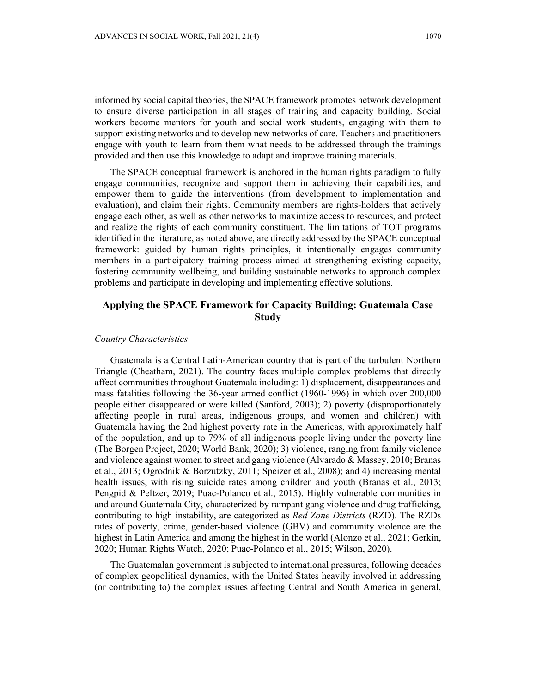informed by social capital theories, the SPACE framework promotes network development to ensure diverse participation in all stages of training and capacity building. Social workers become mentors for youth and social work students, engaging with them to support existing networks and to develop new networks of care. Teachers and practitioners engage with youth to learn from them what needs to be addressed through the trainings provided and then use this knowledge to adapt and improve training materials.

The SPACE conceptual framework is anchored in the human rights paradigm to fully engage communities, recognize and support them in achieving their capabilities, and empower them to guide the interventions (from development to implementation and evaluation), and claim their rights. Community members are rights-holders that actively engage each other, as well as other networks to maximize access to resources, and protect and realize the rights of each community constituent. The limitations of TOT programs identified in the literature, as noted above, are directly addressed by the SPACE conceptual framework: guided by human rights principles, it intentionally engages community members in a participatory training process aimed at strengthening existing capacity, fostering community wellbeing, and building sustainable networks to approach complex problems and participate in developing and implementing effective solutions.

## **Applying the SPACE Framework for Capacity Building: Guatemala Case Study**

#### *Country Characteristics*

Guatemala is a Central Latin-American country that is part of the turbulent Northern Triangle (Cheatham, 2021). The country faces multiple complex problems that directly affect communities throughout Guatemala including: 1) displacement, disappearances and mass fatalities following the 36-year armed conflict (1960-1996) in which over 200,000 people either disappeared or were killed (Sanford, 2003); 2) poverty (disproportionately affecting people in rural areas, indigenous groups, and women and children) with Guatemala having the 2nd highest poverty rate in the Americas, with approximately half of the population, and up to 79% of all indigenous people living under the poverty line (The Borgen Project, 2020; World Bank, 2020); 3) violence, ranging from family violence and violence against women to street and gang violence (Alvarado  $\&$  Massey, 2010; Branas et al., 2013; Ogrodnik & Borzutzky, 2011; Speizer et al., 2008); and 4) increasing mental health issues, with rising suicide rates among children and youth (Branas et al., 2013; Pengpid & Peltzer, 2019; Puac-Polanco et al., 2015). Highly vulnerable communities in and around Guatemala City, characterized by rampant gang violence and drug trafficking, contributing to high instability, are categorized as *Red Zone Districts* (RZD). The RZDs rates of poverty, crime, gender-based violence (GBV) and community violence are the highest in Latin America and among the highest in the world (Alonzo et al., 2021; Gerkin, 2020; Human Rights Watch, 2020; Puac-Polanco et al., 2015; Wilson, 2020).

The Guatemalan government is subjected to international pressures, following decades of complex geopolitical dynamics, with the United States heavily involved in addressing (or contributing to) the complex issues affecting Central and South America in general,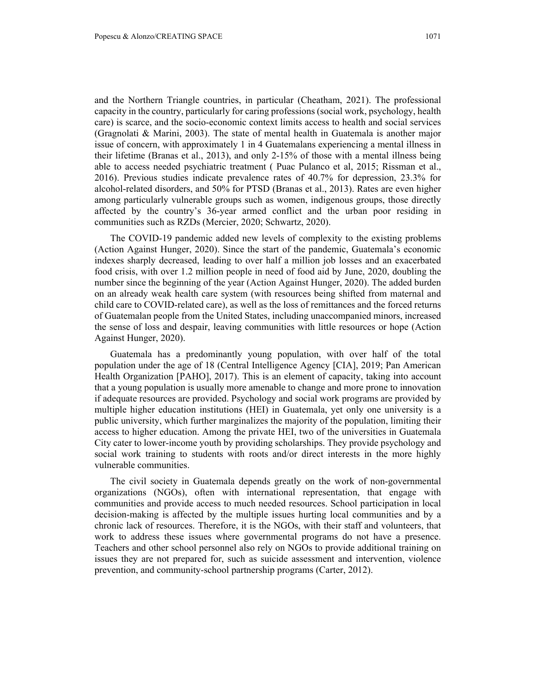and the Northern Triangle countries, in particular (Cheatham, 2021). The professional capacity in the country, particularly for caring professions (social work, psychology, health care) is scarce, and the socio-economic context limits access to health and social services (Gragnolati & Marini, 2003). The state of mental health in Guatemala is another major issue of concern, with approximately 1 in 4 Guatemalans experiencing a mental illness in their lifetime (Branas et al., 2013), and only 2-15% of those with a mental illness being able to access needed psychiatric treatment ( Puac Pulanco et al, 2015; Rissman et al., 2016). Previous studies indicate prevalence rates of 40.7% for depression, 23.3% for alcohol-related disorders, and 50% for PTSD (Branas et al., 2013). Rates are even higher among particularly vulnerable groups such as women, indigenous groups, those directly affected by the country's 36-year armed conflict and the urban poor residing in communities such as RZDs (Mercier, 2020; Schwartz, 2020).

The COVID-19 pandemic added new levels of complexity to the existing problems (Action Against Hunger, 2020). Since the start of the pandemic, Guatemala's economic indexes sharply decreased, leading to over half a million job losses and an exacerbated food crisis, with over 1.2 million people in need of food aid by June, 2020, doubling the number since the beginning of the year (Action Against Hunger, 2020). The added burden on an already weak health care system (with resources being shifted from maternal and child care to COVID-related care), as well as the loss of remittances and the forced returns of Guatemalan people from the United States, including unaccompanied minors, increased the sense of loss and despair, leaving communities with little resources or hope (Action Against Hunger, 2020).

Guatemala has a predominantly young population, with over half of the total population under the age of 18 (Central Intelligence Agency [CIA], 2019; Pan American Health Organization [PAHO], 2017). This is an element of capacity, taking into account that a young population is usually more amenable to change and more prone to innovation if adequate resources are provided. Psychology and social work programs are provided by multiple higher education institutions (HEI) in Guatemala, yet only one university is a public university, which further marginalizes the majority of the population, limiting their access to higher education. Among the private HEI, two of the universities in Guatemala City cater to lower-income youth by providing scholarships. They provide psychology and social work training to students with roots and/or direct interests in the more highly vulnerable communities.

The civil society in Guatemala depends greatly on the work of non-governmental organizations (NGOs), often with international representation, that engage with communities and provide access to much needed resources. School participation in local decision-making is affected by the multiple issues hurting local communities and by a chronic lack of resources. Therefore, it is the NGOs, with their staff and volunteers, that work to address these issues where governmental programs do not have a presence. Teachers and other school personnel also rely on NGOs to provide additional training on issues they are not prepared for, such as suicide assessment and intervention, violence prevention, and community-school partnership programs (Carter, 2012).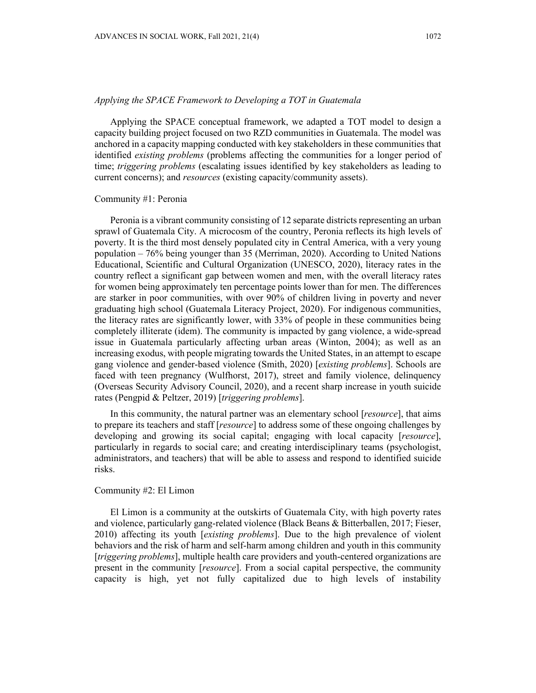### *Applying the SPACE Framework to Developing a TOT in Guatemala*

Applying the SPACE conceptual framework, we adapted a TOT model to design a capacity building project focused on two RZD communities in Guatemala. The model was anchored in a capacity mapping conducted with key stakeholders in these communities that identified *existing problems* (problems affecting the communities for a longer period of time; *triggering problems* (escalating issues identified by key stakeholders as leading to current concerns); and *resources* (existing capacity/community assets).

### Community #1: Peronia

Peronia is a vibrant community consisting of 12 separate districts representing an urban sprawl of Guatemala City. A microcosm of the country, Peronia reflects its high levels of poverty. It is the third most densely populated city in Central America, with a very young population – 76% being younger than 35 (Merriman, 2020). According to United Nations Educational, Scientific and Cultural Organization (UNESCO, 2020), literacy rates in the country reflect a significant gap between women and men, with the overall literacy rates for women being approximately ten percentage points lower than for men. The differences are starker in poor communities, with over 90% of children living in poverty and never graduating high school (Guatemala Literacy Project, 2020). For indigenous communities, the literacy rates are significantly lower, with 33% of people in these communities being completely illiterate (idem). The community is impacted by gang violence, a wide-spread issue in Guatemala particularly affecting urban areas (Winton, 2004); as well as an increasing exodus, with people migrating towards the United States, in an attempt to escape gang violence and gender-based violence (Smith, 2020) [*existing problems*]. Schools are faced with teen pregnancy (Wulfhorst, 2017), street and family violence, delinquency (Overseas Security Advisory Council, 2020), and a recent sharp increase in youth suicide rates (Pengpid & Peltzer, 2019) [*triggering problems*].

In this community, the natural partner was an elementary school [*resource*], that aims to prepare its teachers and staff [*resource*] to address some of these ongoing challenges by developing and growing its social capital; engaging with local capacity [*resource*], particularly in regards to social care; and creating interdisciplinary teams (psychologist, administrators, and teachers) that will be able to assess and respond to identified suicide risks.

## Community #2: El Limon

El Limon is a community at the outskirts of Guatemala City, with high poverty rates and violence, particularly gang-related violence (Black Beans & Bitterballen, 2017; Fieser, 2010) affecting its youth [*existing problems*]. Due to the high prevalence of violent behaviors and the risk of harm and self-harm among children and youth in this community [*triggering problems*], multiple health care providers and youth-centered organizations are present in the community [*resource*]. From a social capital perspective, the community capacity is high, yet not fully capitalized due to high levels of instability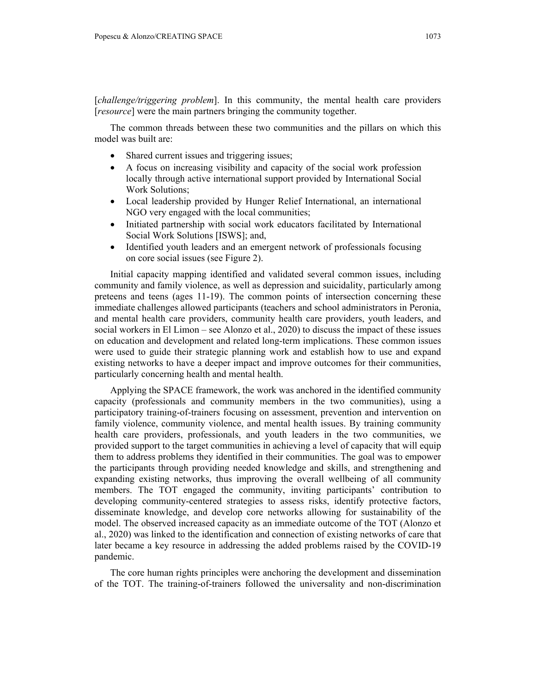[*challenge/triggering problem*]. In this community, the mental health care providers [*resource*] were the main partners bringing the community together.

The common threads between these two communities and the pillars on which this model was built are:

- Shared current issues and triggering issues;
- A focus on increasing visibility and capacity of the social work profession locally through active international support provided by International Social Work Solutions;
- Local leadership provided by Hunger Relief International, an international NGO very engaged with the local communities;
- Initiated partnership with social work educators facilitated by International Social Work Solutions [ISWS]; and,
- Identified youth leaders and an emergent network of professionals focusing on core social issues (see Figure 2).

Initial capacity mapping identified and validated several common issues, including community and family violence, as well as depression and suicidality, particularly among preteens and teens (ages 11-19). The common points of intersection concerning these immediate challenges allowed participants (teachers and school administrators in Peronia, and mental health care providers, community health care providers, youth leaders, and social workers in El Limon – see Alonzo et al., 2020) to discuss the impact of these issues on education and development and related long-term implications. These common issues were used to guide their strategic planning work and establish how to use and expand existing networks to have a deeper impact and improve outcomes for their communities, particularly concerning health and mental health.

Applying the SPACE framework, the work was anchored in the identified community capacity (professionals and community members in the two communities), using a participatory training-of-trainers focusing on assessment, prevention and intervention on family violence, community violence, and mental health issues. By training community health care providers, professionals, and youth leaders in the two communities, we provided support to the target communities in achieving a level of capacity that will equip them to address problems they identified in their communities. The goal was to empower the participants through providing needed knowledge and skills, and strengthening and expanding existing networks, thus improving the overall wellbeing of all community members. The TOT engaged the community, inviting participants' contribution to developing community-centered strategies to assess risks, identify protective factors, disseminate knowledge, and develop core networks allowing for sustainability of the model. The observed increased capacity as an immediate outcome of the TOT (Alonzo et al., 2020) was linked to the identification and connection of existing networks of care that later became a key resource in addressing the added problems raised by the COVID-19 pandemic.

The core human rights principles were anchoring the development and dissemination of the TOT. The training-of-trainers followed the universality and non-discrimination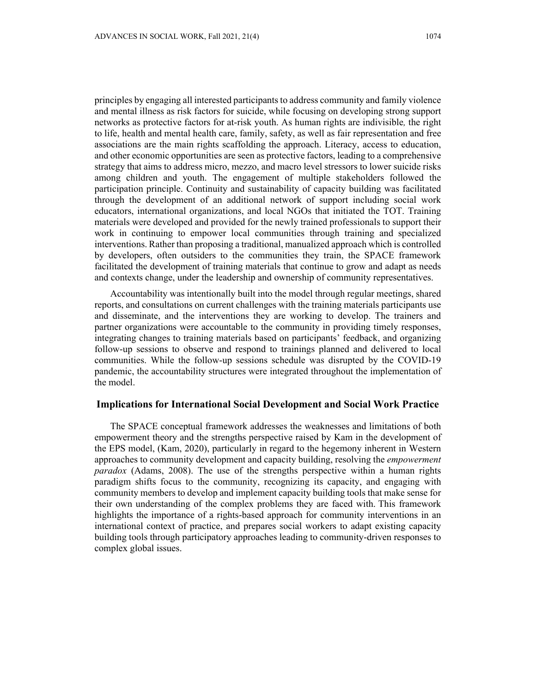principles by engaging all interested participants to address community and family violence and mental illness as risk factors for suicide, while focusing on developing strong support networks as protective factors for at-risk youth. As human rights are indivisible*,* the right to life, health and mental health care, family, safety, as well as fair representation and free associations are the main rights scaffolding the approach. Literacy, access to education, and other economic opportunities are seen as protective factors, leading to a comprehensive strategy that aims to address micro, mezzo, and macro level stressors to lower suicide risks among children and youth. The engagement of multiple stakeholders followed the participation principle. Continuity and sustainability of capacity building was facilitated through the development of an additional network of support including social work educators, international organizations, and local NGOs that initiated the TOT. Training materials were developed and provided for the newly trained professionals to support their work in continuing to empower local communities through training and specialized interventions. Rather than proposing a traditional, manualized approach which is controlled by developers, often outsiders to the communities they train, the SPACE framework facilitated the development of training materials that continue to grow and adapt as needs and contexts change, under the leadership and ownership of community representatives.

Accountability was intentionally built into the model through regular meetings, shared reports, and consultations on current challenges with the training materials participants use and disseminate, and the interventions they are working to develop. The trainers and partner organizations were accountable to the community in providing timely responses, integrating changes to training materials based on participants' feedback, and organizing follow-up sessions to observe and respond to trainings planned and delivered to local communities. While the follow-up sessions schedule was disrupted by the COVID-19 pandemic, the accountability structures were integrated throughout the implementation of the model.

## **Implications for International Social Development and Social Work Practice**

The SPACE conceptual framework addresses the weaknesses and limitations of both empowerment theory and the strengths perspective raised by Kam in the development of the EPS model, (Kam, 2020), particularly in regard to the hegemony inherent in Western approaches to community development and capacity building, resolving the *empowerment paradox* (Adams, 2008). The use of the strengths perspective within a human rights paradigm shifts focus to the community, recognizing its capacity, and engaging with community members to develop and implement capacity building tools that make sense for their own understanding of the complex problems they are faced with. This framework highlights the importance of a rights-based approach for community interventions in an international context of practice, and prepares social workers to adapt existing capacity building tools through participatory approaches leading to community-driven responses to complex global issues.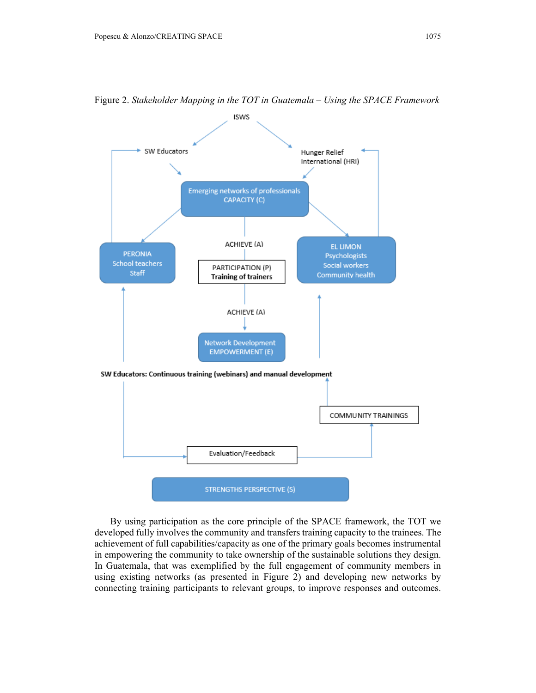

Figure 2. *Stakeholder Mapping in the TOT in Guatemala – Using the SPACE Framework*

By using participation as the core principle of the SPACE framework, the TOT we developed fully involves the community and transfers training capacity to the trainees. The achievement of full capabilities/capacity as one of the primary goals becomes instrumental in empowering the community to take ownership of the sustainable solutions they design. In Guatemala, that was exemplified by the full engagement of community members in using existing networks (as presented in Figure 2) and developing new networks by connecting training participants to relevant groups, to improve responses and outcomes.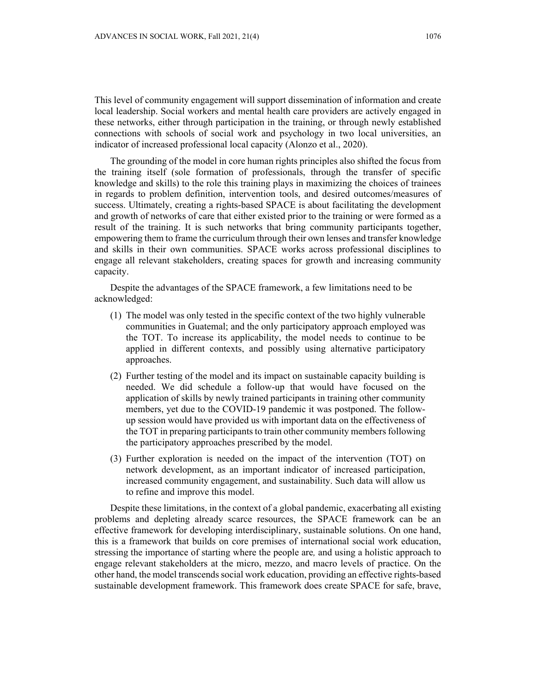This level of community engagement will support dissemination of information and create local leadership. Social workers and mental health care providers are actively engaged in these networks, either through participation in the training, or through newly established connections with schools of social work and psychology in two local universities, an indicator of increased professional local capacity (Alonzo et al., 2020).

The grounding of the model in core human rights principles also shifted the focus from the training itself (sole formation of professionals, through the transfer of specific knowledge and skills) to the role this training plays in maximizing the choices of trainees in regards to problem definition, intervention tools, and desired outcomes/measures of success. Ultimately, creating a rights-based SPACE is about facilitating the development and growth of networks of care that either existed prior to the training or were formed as a result of the training. It is such networks that bring community participants together, empowering them to frame the curriculum through their own lenses and transfer knowledge and skills in their own communities. SPACE works across professional disciplines to engage all relevant stakeholders, creating spaces for growth and increasing community capacity.

Despite the advantages of the SPACE framework, a few limitations need to be acknowledged:

- (1) The model was only tested in the specific context of the two highly vulnerable communities in Guatemal; and the only participatory approach employed was the TOT. To increase its applicability, the model needs to continue to be applied in different contexts, and possibly using alternative participatory approaches.
- (2) Further testing of the model and its impact on sustainable capacity building is needed. We did schedule a follow-up that would have focused on the application of skills by newly trained participants in training other community members, yet due to the COVID-19 pandemic it was postponed. The followup session would have provided us with important data on the effectiveness of the TOT in preparing participants to train other community members following the participatory approaches prescribed by the model.
- (3) Further exploration is needed on the impact of the intervention (TOT) on network development, as an important indicator of increased participation, increased community engagement, and sustainability. Such data will allow us to refine and improve this model.

Despite these limitations, in the context of a global pandemic, exacerbating all existing problems and depleting already scarce resources, the SPACE framework can be an effective framework for developing interdisciplinary, sustainable solutions. On one hand, this is a framework that builds on core premises of international social work education, stressing the importance of starting where the people are*,* and using a holistic approach to engage relevant stakeholders at the micro, mezzo, and macro levels of practice. On the other hand, the model transcends social work education, providing an effective rights-based sustainable development framework. This framework does create SPACE for safe, brave,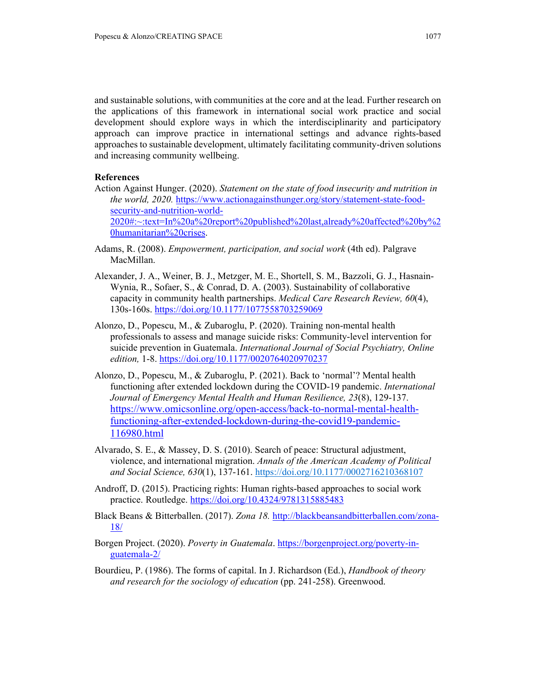and sustainable solutions, with communities at the core and at the lead. Further research on the applications of this framework in international social work practice and social development should explore ways in which the interdisciplinarity and participatory approach can improve practice in international settings and advance rights-based approaches to sustainable development, ultimately facilitating community-driven solutions and increasing community wellbeing.

### **References**

- Action Against Hunger. (2020). *Statement on the state of food insecurity and nutrition in the world, 2020.* https://www.actionagainsthunger.org/story/statement-state-foodsecurity-and-nutrition-world-2020#:~:text=In%20a%20report%20published%20last,already%20affected%20by%2 0humanitarian%20crises.
- Adams, R. (2008). *Empowerment, participation, and social work* (4th ed). Palgrave MacMillan.
- Alexander, J. A., Weiner, B. J., Metzger, M. E., Shortell, S. M., Bazzoli, G. J., Hasnain-Wynia, R., Sofaer, S., & Conrad, D. A. (2003). Sustainability of collaborative capacity in community health partnerships. *Medical Care Research Review, 60*(4), 130s-160s. https://doi.org/10.1177/1077558703259069
- Alonzo, D., Popescu, M., & Zubaroglu, P. (2020). Training non-mental health professionals to assess and manage suicide risks: Community-level intervention for suicide prevention in Guatemala. *International Journal of Social Psychiatry, Online edition,* 1-8. https://doi.org/10.1177/0020764020970237
- Alonzo, D., Popescu, M., & Zubaroglu, P. (2021). Back to 'normal'? Mental health functioning after extended lockdown during the COVID-19 pandemic. *International Journal of Emergency Mental Health and Human Resilience, 23*(8), 129-137. https://www.omicsonline.org/open-access/back-to-normal-mental-healthfunctioning-after-extended-lockdown-during-the-covid19-pandemic-116980.html
- Alvarado, S. E., & Massey, D. S. (2010). Search of peace: Structural adjustment, violence, and international migration. *Annals of the American Academy of Political and Social Science, 630*(1), 137-161. https://doi.org/10.1177/0002716210368107
- Androff, D. (2015). Practicing rights: Human rights-based approaches to social work practice. Routledge. https://doi.org/10.4324/9781315885483
- Black Beans & Bitterballen. (2017). *Zona 18.* http://blackbeansandbitterballen.com/zona-18/
- Borgen Project. (2020). *Poverty in Guatemala*. https://borgenproject.org/poverty-inguatemala-2/
- Bourdieu, P. (1986). The forms of capital. In J. Richardson (Ed.), *Handbook of theory and research for the sociology of education* (pp. 241-258). Greenwood.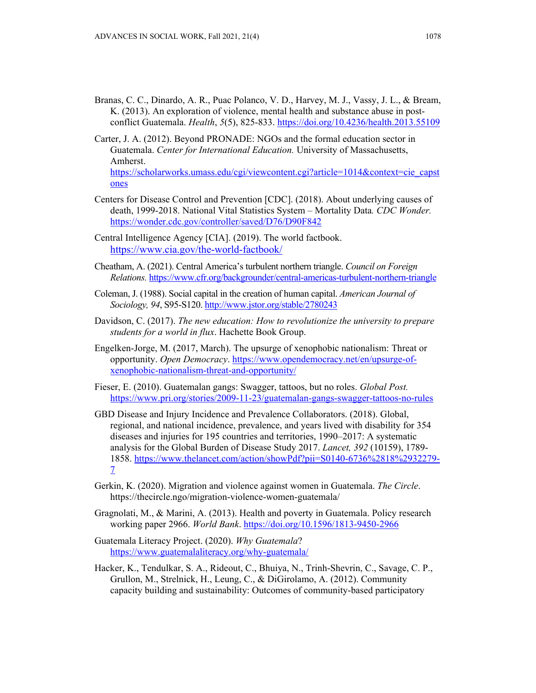- Branas, C. C., Dinardo, A. R., Puac Polanco, V. D., Harvey, M. J., Vassy, J. L., & Bream, K. (2013). An exploration of violence, mental health and substance abuse in postconflict Guatemala. *Health*, *5*(5), 825-833. https://doi.org/10.4236/health.2013.55109
- Carter, J. A. (2012). Beyond PRONADE: NGOs and the formal education sector in Guatemala. *Center for International Education.* University of Massachusetts, Amherst.

https://scholarworks.umass.edu/cgi/viewcontent.cgi?article=1014&context=cie\_capst ones

- Centers for Disease Control and Prevention [CDC]. (2018). About underlying causes of death, 1999-2018. National Vital Statistics System – Mortality Data*. CDC Wonder.*  https://wonder.cdc.gov/controller/saved/D76/D90F842
- Central Intelligence Agency [CIA]. (2019). The world factbook. https://www.cia.gov/the-world-factbook/
- Cheatham, A. (2021). Central America's turbulent northern triangle. *Council on Foreign Relations.* https://www.cfr.org/backgrounder/central-americas-turbulent-northern-triangle
- Coleman, J. (1988). Social capital in the creation of human capital. *American Journal of Sociology, 94*, S95-S120. http://www.jstor.org/stable/2780243
- Davidson, C. (2017). *The new education: How to revolutionize the university to prepare students for a world in flux*. Hachette Book Group.
- Engelken-Jorge, M. (2017, March). The upsurge of xenophobic nationalism: Threat or opportunity. *Open Democracy*. https://www.opendemocracy.net/en/upsurge-ofxenophobic-nationalism-threat-and-opportunity/
- Fieser, E. (2010). Guatemalan gangs: Swagger, tattoos, but no roles. *Global Post.*  https://www.pri.org/stories/2009-11-23/guatemalan-gangs-swagger-tattoos-no-rules
- GBD Disease and Injury Incidence and Prevalence Collaborators. (2018). Global, regional, and national incidence, prevalence, and years lived with disability for 354 diseases and injuries for 195 countries and territories, 1990–2017: A systematic analysis for the Global Burden of Disease Study 2017. *Lancet, 392* (10159), 1789- 1858. https://www.thelancet.com/action/showPdf?pii=S0140-6736%2818%2932279- 7
- Gerkin, K. (2020). Migration and violence against women in Guatemala. *The Circle*. https://thecircle.ngo/migration-violence-women-guatemala/
- Gragnolati, M., & Marini, A. (2013). Health and poverty in Guatemala. Policy research working paper 2966. *World Bank*. https://doi.org/10.1596/1813-9450-2966
- Guatemala Literacy Project. (2020). *Why Guatemala*? https://www.guatemalaliteracy.org/why-guatemala/
- Hacker, K., Tendulkar, S. A., Rideout, C., Bhuiya, N., Trinh-Shevrin, C., Savage, C. P., Grullon, M., Strelnick, H., Leung, C., & DiGirolamo, A. (2012). Community capacity building and sustainability: Outcomes of community-based participatory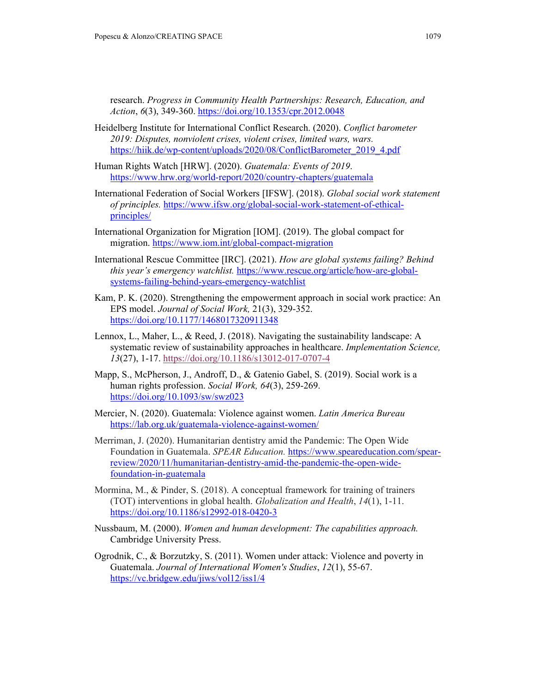research. *Progress in Community Health Partnerships: Research, Education, and Action*, *6*(3), 349-360. https://doi.org/10.1353/cpr.2012.0048

- Heidelberg Institute for International Conflict Research. (2020). *Conflict barometer 2019: Disputes, nonviolent crises, violent crises, limited wars, wars.*  https://hiik.de/wp-content/uploads/2020/08/ConflictBarometer\_2019\_4.pdf
- Human Rights Watch [HRW]. (2020). *Guatemala: Events of 2019*. https://www.hrw.org/world-report/2020/country-chapters/guatemala
- International Federation of Social Workers [IFSW]. (2018). *Global social work statement of principles.* https://www.ifsw.org/global-social-work-statement-of-ethicalprinciples/
- International Organization for Migration [IOM]. (2019). The global compact for migration. https://www.iom.int/global-compact-migration
- International Rescue Committee [IRC]. (2021). *How are global systems failing? Behind this year's emergency watchlist.* https://www.rescue.org/article/how-are-globalsystems-failing-behind-years-emergency-watchlist
- Kam, P. K. (2020). Strengthening the empowerment approach in social work practice: An EPS model. *Journal of Social Work,* 21(3), 329-352. https://doi.org/10.1177/1468017320911348
- Lennox, L., Maher, L., & Reed, J. (2018). Navigating the sustainability landscape: A systematic review of sustainability approaches in healthcare. *Implementation Science, 13*(27), 1-17. https://doi.org/10.1186/s13012-017-0707-4
- Mapp, S., McPherson, J., Androff, D., & Gatenio Gabel, S. (2019). Social work is a human rights profession. *Social Work, 64*(3), 259-269. https://doi.org/10.1093/sw/swz023
- Mercier, N. (2020). Guatemala: Violence against women. *Latin America Bureau* https://lab.org.uk/guatemala-violence-against-women/
- Merriman, J. (2020). Humanitarian dentistry amid the Pandemic: The Open Wide Foundation in Guatemala. *SPEAR Education.* https://www.speareducation.com/spearreview/2020/11/humanitarian-dentistry-amid-the-pandemic-the-open-widefoundation-in-guatemala
- Mormina, M., & Pinder, S. (2018). A conceptual framework for training of trainers (TOT) interventions in global health. *Globalization and Health*, *14*(1), 1-11. https://doi.org/10.1186/s12992-018-0420-3
- Nussbaum, M. (2000). *Women and human development: The capabilities approach.* Cambridge University Press.
- Ogrodnik, C., & Borzutzky, S. (2011). Women under attack: Violence and poverty in Guatemala. *Journal of International Women's Studies*, *12*(1), 55-67. https://vc.bridgew.edu/jiws/vol12/iss1/4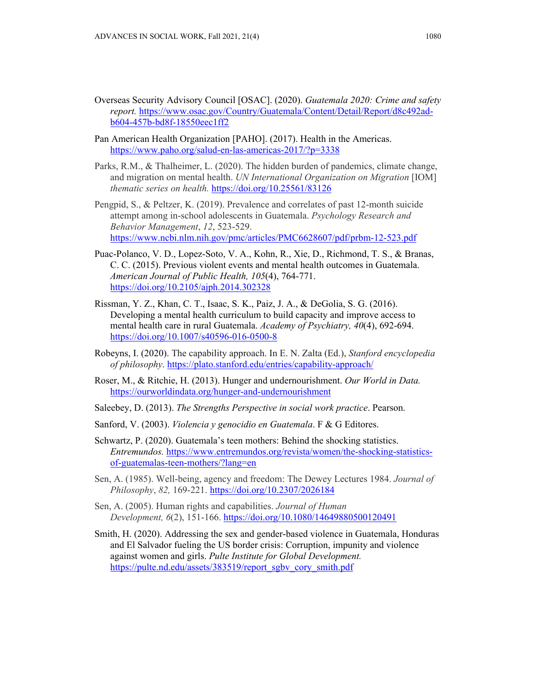- Overseas Security Advisory Council [OSAC]. (2020). *Guatemala 2020: Crime and safety report.* https://www.osac.gov/Country/Guatemala/Content/Detail/Report/d8c492adb604-457b-bd8f-18550eec1ff2
- Pan American Health Organization [PAHO]. (2017). Health in the Americas. https://www.paho.org/salud-en-las-americas-2017/?p=3338
- Parks, R.M., & Thalheimer, L. (2020). The hidden burden of pandemics, climate change, and migration on mental health. *UN International Organization on Migration* [IOM] *thematic series on health.* https://doi.org/10.25561/83126
- Pengpid, S., & Peltzer, K. (2019). Prevalence and correlates of past 12-month suicide attempt among in-school adolescents in Guatemala. *Psychology Research and Behavior Management*, *12*, 523-529. https://www.ncbi.nlm.nih.gov/pmc/articles/PMC6628607/pdf/prbm-12-523.pdf
- Puac-Polanco, V. D., Lopez-Soto, V. A., Kohn, R., Xie, D., Richmond, T. S., & Branas, C. C. (2015). Previous violent events and mental health outcomes in Guatemala. *American Journal of Public Health, 105*(4), 764-771. https://doi.org/10.2105/ajph.2014.302328
- Rissman, Y. Z., Khan, C. T., Isaac, S. K., Paiz, J. A., & DeGolia, S. G. (2016). Developing a mental health curriculum to build capacity and improve access to mental health care in rural Guatemala. *Academy of Psychiatry, 40*(4), 692-694. https://doi.org/10.1007/s40596-016-0500-8
- Robeyns, I. (2020). The capability approach. In E. N. Zalta (Ed.), *Stanford encyclopedia of philosophy*. https://plato.stanford.edu/entries/capability-approach/
- Roser, M., & Ritchie, H. (2013). Hunger and undernourishment. *Our World in Data.*  https://ourworldindata.org/hunger-and-undernourishment
- Saleebey, D. (2013). *The Strengths Perspective in social work practice*. Pearson.
- Sanford, V. (2003). *Violencia y genocidio en Guatemala*. F & G Editores.
- Schwartz, P. (2020). Guatemala's teen mothers: Behind the shocking statistics. *Entremundos.* https://www.entremundos.org/revista/women/the-shocking-statisticsof-guatemalas-teen-mothers/?lang=en
- Sen, A. (1985). Well-being, agency and freedom: The Dewey Lectures 1984. *Journal of Philosophy*, *82,* 169-221. https://doi.org/10.2307/2026184
- Sen, A. (2005). Human rights and capabilities. *Journal of Human Development, 6*(2), 151-166. https://doi.org/10.1080/14649880500120491
- Smith, H. (2020). Addressing the sex and gender-based violence in Guatemala, Honduras and El Salvador fueling the US border crisis: Corruption, impunity and violence against women and girls. *Pulte Institute for Global Development.*  https://pulte.nd.edu/assets/383519/report\_sgbv\_cory\_smith.pdf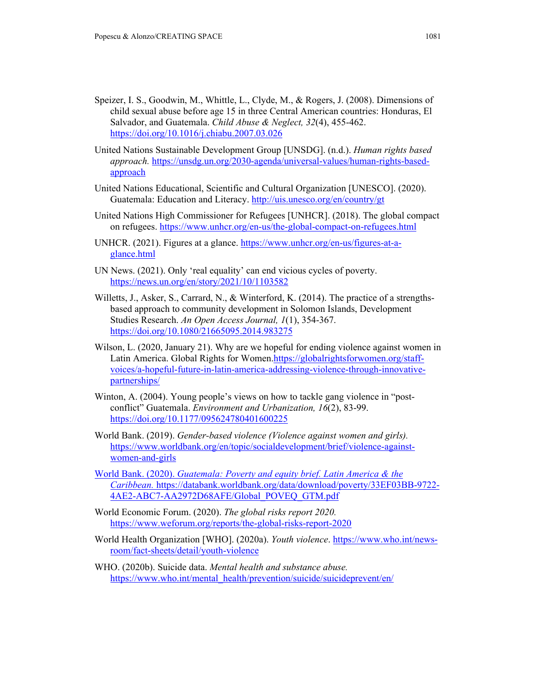- Speizer, I. S., Goodwin, M., Whittle, L., Clyde, M., & Rogers, J. (2008). Dimensions of child sexual abuse before age 15 in three Central American countries: Honduras, El Salvador, and Guatemala. *Child Abuse & Neglect, 32*(4), 455-462. https://doi.org/10.1016/j.chiabu.2007.03.026
- United Nations Sustainable Development Group [UNSDG]. (n.d.). *Human rights based approach.* https://unsdg.un.org/2030-agenda/universal-values/human-rights-basedapproach
- United Nations Educational, Scientific and Cultural Organization [UNESCO]. (2020). Guatemala: Education and Literacy. http://uis.unesco.org/en/country/gt
- United Nations High Commissioner for Refugees [UNHCR]. (2018). The global compact on refugees. https://www.unhcr.org/en-us/the-global-compact-on-refugees.html
- UNHCR. (2021). Figures at a glance. https://www.unhcr.org/en-us/figures-at-aglance.html
- UN News. (2021). Only 'real equality' can end vicious cycles of poverty. https://news.un.org/en/story/2021/10/1103582
- Willetts, J., Asker, S., Carrard, N., & Winterford, K. (2014). The practice of a strengthsbased approach to community development in Solomon Islands, Development Studies Research. *An Open Access Journal, 1*(1), 354-367. https://doi.org/10.1080/21665095.2014.983275
- Wilson, L. (2020, January 21). Why are we hopeful for ending violence against women in Latin America. Global Rights for Women.https://globalrightsforwomen.org/staffvoices/a-hopeful-future-in-latin-america-addressing-violence-through-innovativepartnerships/
- Winton, A. (2004). Young people's views on how to tackle gang violence in "postconflict" Guatemala. *Environment and Urbanization, 16*(2), 83-99. https://doi.org/10.1177/095624780401600225
- World Bank. (2019). *Gender-based violence (Violence against women and girls).* https://www.worldbank.org/en/topic/socialdevelopment/brief/violence-againstwomen-and-girls
- World Bank. (2020). *Guatemala: Poverty and equity brief. Latin America & the Caribbean.* https://databank.worldbank.org/data/download/poverty/33EF03BB-9722- 4AE2-ABC7-AA2972D68AFE/Global\_POVEQ\_GTM.pdf
- World Economic Forum. (2020). *The global risks report 2020.* https://www.weforum.org/reports/the-global-risks-report-2020
- World Health Organization [WHO]. (2020a). *Youth violence*. https://www.who.int/newsroom/fact-sheets/detail/youth-violence
- WHO. (2020b). Suicide data. *Mental health and substance abuse.*  https://www.who.int/mental\_health/prevention/suicide/suicideprevent/en/